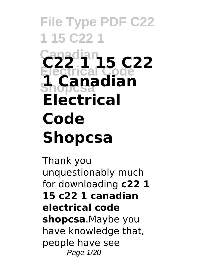# **Canadian C22 1 15 C22 Electrical Code Shopcsa 1 Canadian Electrical Code Shopcsa**

Thank you unquestionably much for downloading **c22 1 15 c22 1 canadian electrical code shopcsa**.Maybe you have knowledge that, people have see Page 1/20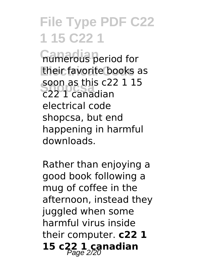**Gumerous** period for their favorite books as **Shopcsa** c22 1 canadian soon as this c22 1 15 electrical code shopcsa, but end happening in harmful downloads.

Rather than enjoying a good book following a mug of coffee in the afternoon, instead they juggled when some harmful virus inside their computer. **c22 1 15 c22 1 canadian** Page 2/20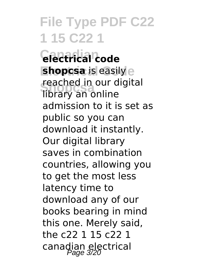**Canadian electrical code shopcsa** is easily e **Shopcsa** library an online reached in our digital admission to it is set as public so you can download it instantly. Our digital library saves in combination countries, allowing you to get the most less latency time to download any of our books bearing in mind this one. Merely said, the c22 1 15 c22 1 canadian electrical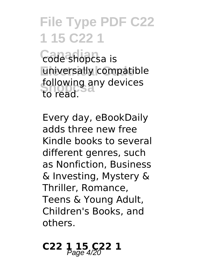**Canadian** code shopcsa is universally compatible following any devices to read.

Every day, eBookDaily adds three new free Kindle books to several different genres, such as Nonfiction, Business & Investing, Mystery & Thriller, Romance, Teens & Young Adult, Children's Books, and others.

# C22 1 15 C<sub>22</sub> 1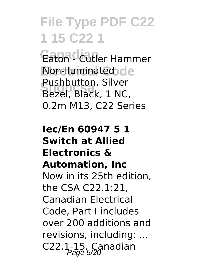Eaton<sup>o</sup> Cutler Hammer **Non-lluminated** de **Shopcsa** Bezel, Black, 1 NC, Pushbutton, Silver 0.2m M13, C22 Series

#### **Iec/En 60947 5 1 Switch at Allied Electronics & Automation, Inc** Now in its 25th edition, the CSA C22.1:21, Canadian Electrical Code, Part I includes over 200 additions and revisions, including: ...  $C22.1-15$ . Canadian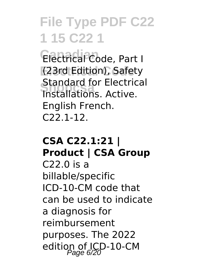Electrical<sup>2</sup>Code, Part I (23rd Edition), Safety **Standard for Electric**<br>Installations. Active. Standard for Electrical English French. C22.1-12.

#### **CSA C22.1:21 | Product | CSA Group**

C22.0 is a billable/specific ICD-10-CM code that can be used to indicate a diagnosis for reimbursement purposes. The 2022 edition of ICD-10-CM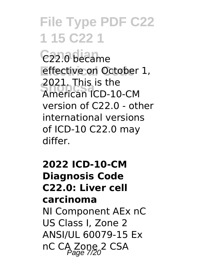C<sub>22.0</sub> became effective on October 1, **Shopcsa** American ICD-10-CM 2021. This is the version of C22.0 - other international versions of ICD-10 C22.0 may differ.

#### **2022 ICD-10-CM Diagnosis Code C22.0: Liver cell carcinoma** NI Component AEx nC US Class I, Zone 2 ANSI/UL 60079-15 Ex nC CA Zone 2 CSA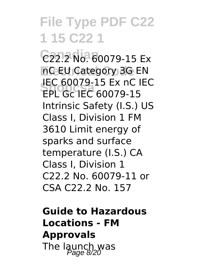**Canadian** C22.2 No. 60079-15 Ex **Electrical Code** nC EU Category 3G EN **Shopcsa** EPL Gc IEC 60079-15 IEC 60079-15 Ex nC IEC Intrinsic Safety (I.S.) US Class I, Division 1 FM 3610 Limit energy of sparks and surface temperature (I.S.) CA Class I, Division 1 C22.2 No. 60079-11 or CSA C22.2 No. 157

**Guide to Hazardous Locations - FM Approvals** The launch was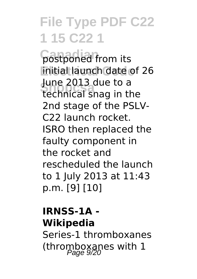**Canadian** postponed from its **initial launch date of 26** June 2013 due to a<br>technical spag in the technical snag in the 2nd stage of the PSLV-C22 launch rocket. ISRO then replaced the faulty component in the rocket and rescheduled the launch to 1 July 2013 at 11:43 p.m. [9] [10]

#### **IRNSS-1A - Wikipedia** Series-1 thromboxanes (thromboxanes with  $1$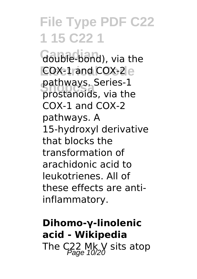double-bond), via the **COX-1 and COX-2 e Shopcsa** prostanoids, via the pathways. Series-1 COX-1 and COX-2 pathways. A 15-hydroxyl derivative that blocks the transformation of arachidonic acid to leukotrienes. All of these effects are antiinflammatory.

**Dihomo-γ-linolenic acid - Wikipedia** The  $C_{Pcal}^{22}$  Mk V sits atop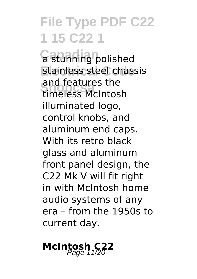**G** stunning polished stainless steel chassis **Shopcsa** timeless McIntosh and features the illuminated logo, control knobs, and aluminum end caps. With its retro black glass and aluminum front panel design, the C22 Mk V will fit right in with McIntosh home audio systems of any era – from the 1950s to current day.

### **McIntosh C22**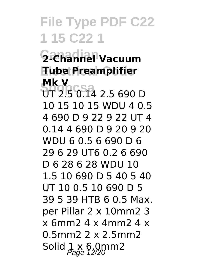#### **Canadian 2-Channel Vacuum Electrical Code Tube Preamplifier Mk V**

**MK V**<br>UT 2.5 0.14 2.5 690 D 10 15 10 15 WDU 4 0.5 4 690 D 9 22 9 22 UT 4 0.14 4 690 D 9 20 9 20 WDU 6 0.5 6 690 D 6 29 6 29 UT6 0.2 6 690 D 6 28 6 28 WDU 10 1.5 10 690 D 5 40 5 40 UT 10 0.5 10 690 D 5 39 5 39 HTB 6 0.5 Max. per Pillar 2 x 10mm2 3 x 6mm2 4 x 4mm2 4 x 0.5mm2 2 x 2.5mm2 Solid  $1 \times 6.0$ mm2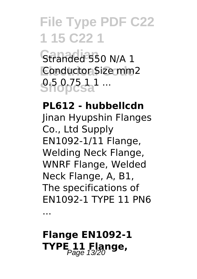**Canadian** Stranded 550 N/A 1 **Conductor Size mm2 Shopcsa**1 ...

#### **PL612 - hubbellcdn**

Jinan Hyupshin Flanges Co., Ltd Supply EN1092-1/11 Flange, Welding Neck Flange, WNRF Flange, Welded Neck Flange, A, B1, The specifications of EN1092-1 TYPE 11 PN6

...

#### **Flange EN1092-1 TYPE 11 Flange,**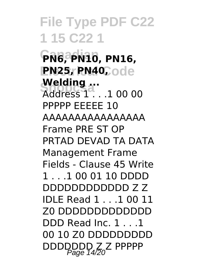**Canadian PN6, PN10, PN16, PN25, PN40, ode welding ...**<br>Address 1 . . .1 00 00 **Welding ...** PPPPP EEEEE 10 AAAAAAAAAAAAAAAA Frame PRE ST OP PRTAD DEVAD TA DATA Management Frame Fields - Clause 45 Write 1 . . .1 00 01 10 DDDD DDDDDDDDDDDD Z Z IDLE Read 1 . . .1 00 11 Z0 DDDDDDDDDDDDD DDD Read Inc. 1 . . .1 00 10 Z0 DDDDDDDDD DDDDDDD Z Z PPPPP<br>Page 14/20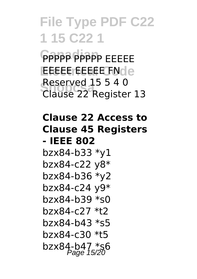**PPPPP** PPPP EEEEE **Electrical Code** EEEEE EEEEE FN **Shopcsa** Clause 22 Register 13 Reserved 15 5 4 0

#### **Clause 22 Access to Clause 45 Registers - IEEE 802**

bzx84-b33 \*y1 bzx84-c22 y8\* bzx84-b36 \*y2 bzx84-c24 y9\* bzx84-b39 \*s0 bzx84-c27 \*t2 bzx84-b43 \*s5 bzx84-c30 \*t5 bzx84-b47  $*$ s6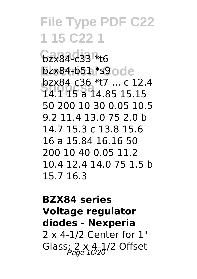**Canadian** bzx84-c33 \*t6 bzx84-b51 \*s9ode **Shopcsa** 14.1 15 a 14.85 15.15 bzx84-c36 \*t7 ... c 12.4 50 200 10 30 0.05 10.5 9.2 11.4 13.0 75 2.0 b 14.7 15.3 c 13.8 15.6 16 a 15.84 16.16 50 200 10 40 0.05 11.2 10.4 12.4 14.0 75 1.5 b 15.7 16.3

#### **BZX84 series Voltage regulator diodes - Nexperia** 2 x 4-1/2 Center for 1" Glass;  $2 \times 4-1/2$  Offset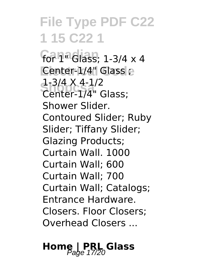**Canadian** for 1" Glass; 1-3/4 x 4 **Center-1/4"** Glass e **Shopport A** 4-1/2<br>Center-1/4" Glass; 1-3/4 X 4-1/2 Shower Slider. Contoured Slider; Ruby Slider; Tiffany Slider; Glazing Products; Curtain Wall. 1000 Curtain Wall; 600 Curtain Wall; 700 Curtain Wall; Catalogs; Entrance Hardware. Closers. Floor Closers; Overhead Closers ...

# **Home | PRL Glass** Page 17/20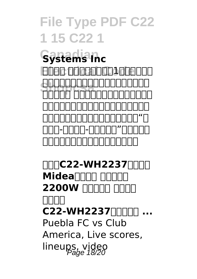**Canadian Systems Inc EDEC 0008000014000** SHORCA SHOPPS<br>Thomas Annonononono waaa 1000000000000 家电商品出现质量问题,请先联系厂家进行 d in in in in in in in i 的京东-客户服务-返修退换货"页面提交退 换申请,将有专业售后人员提供服务。

**MMC22-WH2237MMM**  $M$ **idea** $\Pi\Pi$ **2200W FIREFIRE BIRLEY 微晶面板 C22-WH2237(配汤蒸锅 ...** Puebla FC vs Club America, Live scores, lineups, video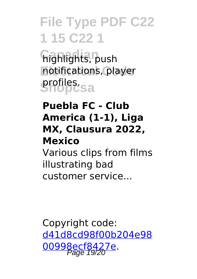**Canadian** highlights, push notifications, player **Shopcsa** profiles.

#### **Puebla FC - Club America (1-1), Liga MX, Clausura 2022, Mexico**

Various clips from films illustrating bad customer service...

Copyright code: [d41d8cd98f00b204e98](/sitemap.xml) [00998ecf8427e.](/sitemap.xml)